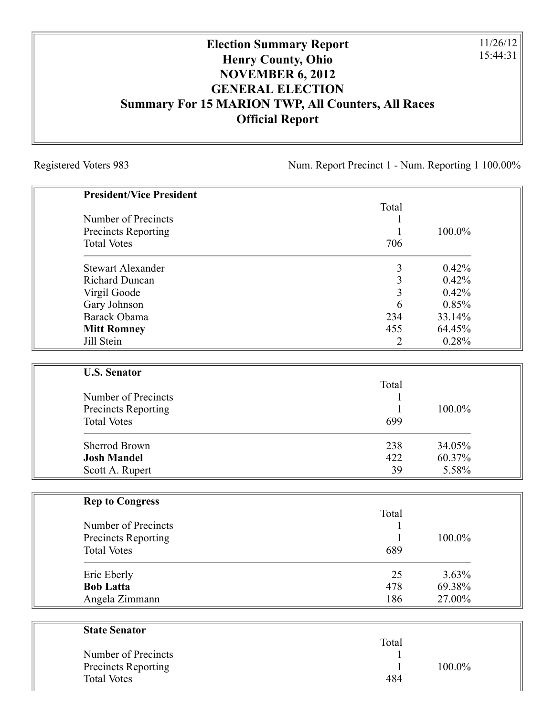## **Election Summary Report Henry County, Ohio NOVEMBER 6, 2012 GENERAL ELECTION Summary For 15 MARION TWP, All Counters, All Races Official Report**

Registered Voters 983 Num. Report Precinct 1 - Num. Reporting 1 100.00%

11/26/12 15:44:31

| <b>President/Vice President</b> |                |        |
|---------------------------------|----------------|--------|
|                                 | Total          |        |
| Number of Precincts             | 1              |        |
| <b>Precincts Reporting</b>      | $\mathbf{1}$   | 100.0% |
| <b>Total Votes</b>              | 706            |        |
| <b>Stewart Alexander</b>        | 3              | 0.42%  |
| <b>Richard Duncan</b>           | $\overline{3}$ | 0.42%  |
| Virgil Goode                    | $\overline{3}$ | 0.42%  |
| Gary Johnson                    | 6              | 0.85%  |
| Barack Obama                    | 234            | 33.14% |
| <b>Mitt Romney</b>              | 455            | 64.45% |
| Jill Stein                      | $\overline{2}$ | 0.28%  |
|                                 |                |        |
| <b>U.S. Senator</b>             |                |        |
|                                 | Total          |        |
| Number of Precincts             | 1              |        |
| <b>Precincts Reporting</b>      | $\mathbf{1}$   | 100.0% |
| <b>Total Votes</b>              | 699            |        |
| <b>Sherrod Brown</b>            | 238            | 34.05% |
| <b>Josh Mandel</b>              | 422            | 60.37% |
| Scott A. Rupert                 | 39             | 5.58%  |
|                                 |                |        |
| <b>Rep to Congress</b>          | Total          |        |
| Number of Precincts             | $\mathbf{1}$   |        |
| <b>Precincts Reporting</b>      | 1              | 100.0% |
| <b>Total Votes</b>              | 689            |        |
| Eric Eberly                     | 25             | 3.63%  |
| <b>Bob Latta</b>                | 478            | 69.38% |
| Angela Zimmann                  | 186            | 27.00% |
|                                 |                |        |
| <b>State Senator</b>            |                |        |
|                                 | Total          |        |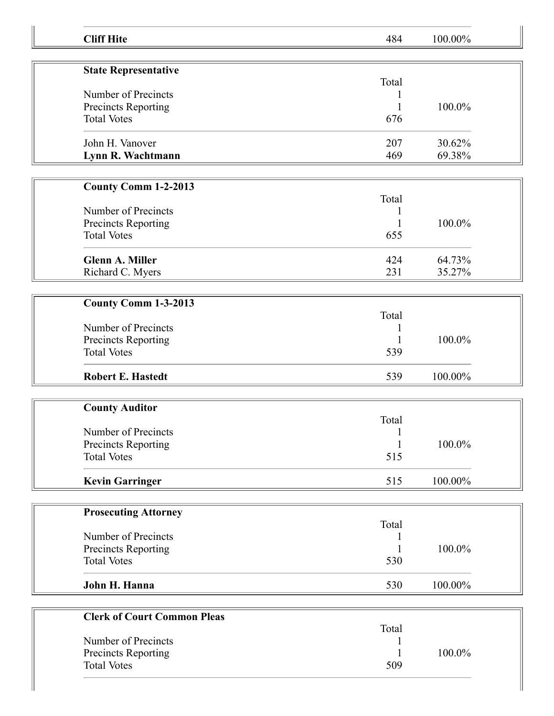| <b>Cliff Hite</b>                         | 484   | 100.00% |
|-------------------------------------------|-------|---------|
|                                           |       |         |
| <b>State Representative</b>               | Total |         |
| Number of Precincts                       |       |         |
| Precincts Reporting                       |       | 100.0%  |
| <b>Total Votes</b>                        | 676   |         |
|                                           |       |         |
| John H. Vanover                           | 207   | 30.62%  |
| Lynn R. Wachtmann                         | 469   | 69.38%  |
|                                           |       |         |
| County Comm 1-2-2013                      |       |         |
|                                           | Total |         |
| Number of Precincts                       |       |         |
| Precincts Reporting                       |       | 100.0%  |
| <b>Total Votes</b>                        | 655   |         |
| <b>Glenn A. Miller</b>                    | 424   | 64.73%  |
| Richard C. Myers                          | 231   | 35.27%  |
|                                           |       |         |
| <b>County Comm 1-3-2013</b>               |       |         |
|                                           | Total |         |
| Number of Precincts                       |       |         |
| Precincts Reporting                       |       | 100.0%  |
| <b>Total Votes</b>                        | 539   |         |
|                                           |       |         |
| <b>Robert E. Hastedt</b>                  | 539   | 100.00% |
|                                           |       |         |
| <b>County Auditor</b>                     | Total |         |
| Number of Precincts                       | 1     |         |
| Precincts Reporting                       |       | 100.0%  |
| <b>Total Votes</b>                        | 515   |         |
|                                           |       |         |
| <b>Kevin Garringer</b>                    | 515   | 100.00% |
|                                           |       |         |
| <b>Prosecuting Attorney</b>               |       |         |
| Number of Precincts                       | Total |         |
| Precincts Reporting                       |       | 100.0%  |
| <b>Total Votes</b>                        | 530   |         |
|                                           |       |         |
| John H. Hanna                             | 530   | 100.00% |
|                                           |       |         |
| <b>Clerk of Court Common Pleas</b>        |       |         |
| Number of Precincts                       | Total |         |
|                                           |       |         |
|                                           |       |         |
| Precincts Reporting<br><b>Total Votes</b> | 509   | 100.0%  |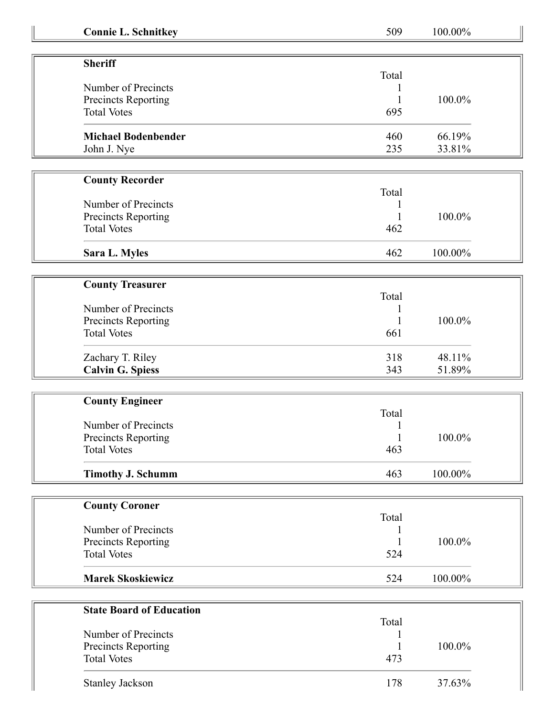| <b>Connie L. Schnitkey</b>      | 509        | 100.00%          |
|---------------------------------|------------|------------------|
|                                 |            |                  |
| <b>Sheriff</b>                  |            |                  |
|                                 | Total      |                  |
| Number of Precincts             |            |                  |
| Precincts Reporting             |            | 100.0%           |
| <b>Total Votes</b>              | 695        |                  |
| <b>Michael Bodenbender</b>      | 460        | 66.19%           |
| John J. Nye                     | 235        | 33.81%           |
|                                 |            |                  |
| <b>County Recorder</b>          |            |                  |
|                                 | Total      |                  |
| Number of Precincts             |            |                  |
| Precincts Reporting             |            | 100.0%           |
| <b>Total Votes</b>              | 462        |                  |
| Sara L. Myles                   | 462        | 100.00%          |
|                                 |            |                  |
| <b>County Treasurer</b>         |            |                  |
|                                 | Total      |                  |
| Number of Precincts             |            |                  |
| Precincts Reporting             |            | 100.0%           |
| <b>Total Votes</b>              | 661        |                  |
|                                 |            |                  |
| Zachary T. Riley                | 318<br>343 | 48.11%<br>51.89% |
| <b>Calvin G. Spiess</b>         |            |                  |
| <b>County Engineer</b>          |            |                  |
|                                 | Total      |                  |
| Number of Precincts             |            |                  |
| Precincts Reporting             | 1          | $100.0\%$        |
| <b>Total Votes</b>              | 463        |                  |
| <b>Timothy J. Schumm</b>        | 463        | 100.00%          |
|                                 |            |                  |
| <b>County Coroner</b>           |            |                  |
|                                 | Total      |                  |
| Number of Precincts             |            |                  |
| Precincts Reporting             |            | 100.0%           |
| <b>Total Votes</b>              | 524        |                  |
| <b>Marek Skoskiewicz</b>        | 524        | 100.00%          |
|                                 |            |                  |
| <b>State Board of Education</b> |            |                  |
|                                 | Total      |                  |
| Number of Precincts             |            |                  |
| Precincts Reporting             |            | 100.0%           |
| <b>Total Votes</b>              | 473        |                  |
| <b>Stanley Jackson</b>          | 178        | 37.63%           |
|                                 |            |                  |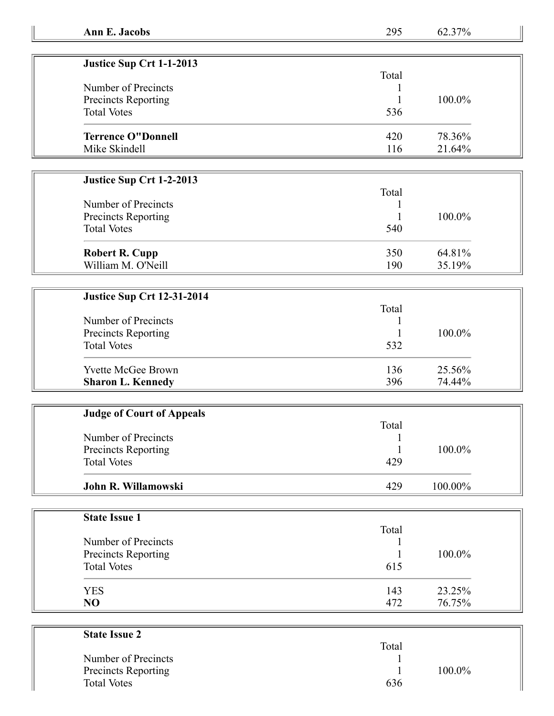| Justice Sup Crt 1-1-2013  |       |           |
|---------------------------|-------|-----------|
|                           | Total |           |
| Number of Precincts       |       |           |
| Precincts Reporting       |       | $100.0\%$ |
| <b>Total Votes</b>        | 536   |           |
| <b>Terrence O"Donnell</b> | 420   | 78.36%    |
| Mike Skindell             | 116   | 21.64%    |

## **Justice Sup Crt 1-2-2013**

| Number of Precincts<br>Precincts Reporting<br><b>Total Votes</b> | Total<br>540 | 100.0% |
|------------------------------------------------------------------|--------------|--------|
| <b>Robert R. Cupp</b>                                            | 350          | 64.81% |
| William M. O'Neill                                               | 190          | 35.19% |

## **Justice Sup Crt 12-31-2014**

| <b>Judge of Court of Appeals</b> |       |            |  |
|----------------------------------|-------|------------|--|
|                                  | Total |            |  |
| Number of Precincts              |       |            |  |
| Precincts Reporting              |       | $100.0\%$  |  |
| <b>Total Votes</b>               | 429   |            |  |
| John R. Willamowski              | 429   | $100.00\%$ |  |

| <b>State Issue 1</b> |       |        |
|----------------------|-------|--------|
|                      | Total |        |
| Number of Precincts  |       |        |
| Precincts Reporting  |       | 100.0% |
| <b>Total Votes</b>   | 615   |        |
| <b>YES</b>           | 143   | 23.25% |
| N <sub>O</sub>       | 472   | 76.75% |

| <b>State Issue 2</b>       |        |  |
|----------------------------|--------|--|
|                            | Total  |  |
| Number of Precincts        |        |  |
| <b>Precincts Reporting</b> | 100.0% |  |
| <b>Total Votes</b>         | 636    |  |